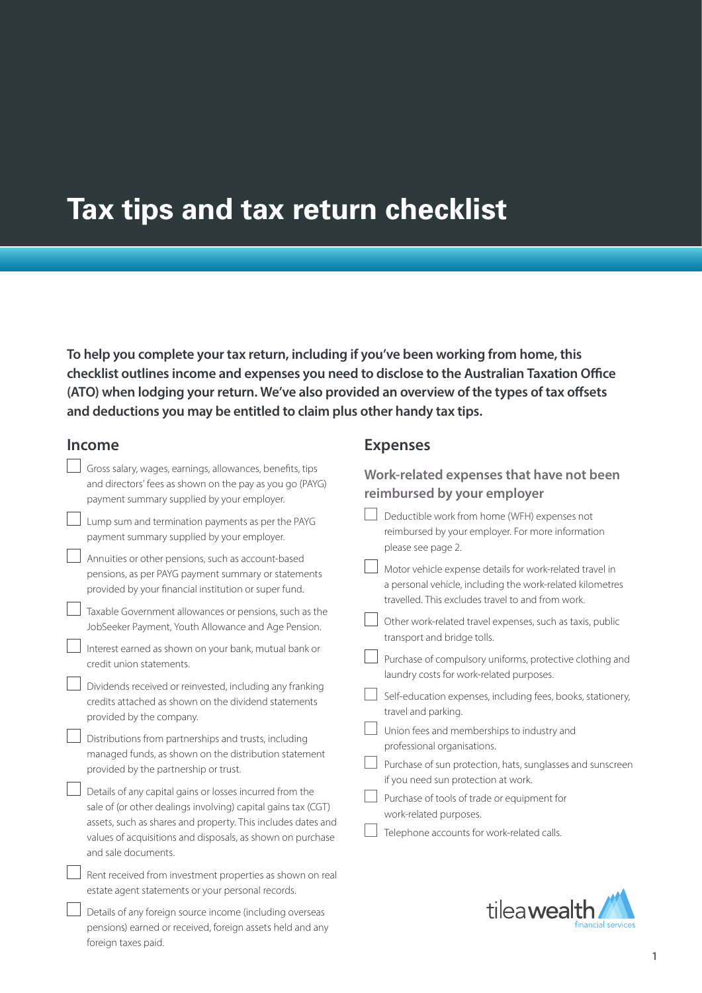# **Tax tips and tax return checklist**

**To help you complete your tax return, including if you've been working from home, this checklist outlines income and expenses you need to disclose to the Australian Taxation Office (ATO) when lodging your return. We've also provided an overview of the types of tax offsets and deductions you may be entitled to claim plus other handy tax tips.**

## **Income**

foreign taxes paid.

| <b>Income</b>                                                                                                                                                                                                                                                                                                                                                                                                                                                                                                                                                                                                                              | <b>Expenses</b>                                                                                                                                                                                                                                                                                                                                                                                                                                                                                                                                   |
|--------------------------------------------------------------------------------------------------------------------------------------------------------------------------------------------------------------------------------------------------------------------------------------------------------------------------------------------------------------------------------------------------------------------------------------------------------------------------------------------------------------------------------------------------------------------------------------------------------------------------------------------|---------------------------------------------------------------------------------------------------------------------------------------------------------------------------------------------------------------------------------------------------------------------------------------------------------------------------------------------------------------------------------------------------------------------------------------------------------------------------------------------------------------------------------------------------|
| Gross salary, wages, earnings, allowances, benefits, tips<br>and directors' fees as shown on the pay as you go (PAYG)<br>payment summary supplied by your employer.                                                                                                                                                                                                                                                                                                                                                                                                                                                                        | Work-related expenses that have not been<br>reimbursed by your employer                                                                                                                                                                                                                                                                                                                                                                                                                                                                           |
| Lump sum and termination payments as per the PAYG<br>payment summary supplied by your employer.<br>Annuities or other pensions, such as account-based<br>pensions, as per PAYG payment summary or statements<br>provided by your financial institution or super fund.                                                                                                                                                                                                                                                                                                                                                                      | Deductible work from home (WFH) expenses not<br>reimbursed by your employer. For more information<br>please see page 2.<br>Motor vehicle expense details for work-related travel in<br>a personal vehicle, including the work-related kilometres<br>travelled. This excludes travel to and from work.                                                                                                                                                                                                                                             |
| Taxable Government allowances or pensions, such as the<br>JobSeeker Payment, Youth Allowance and Age Pension.<br>Interest earned as shown on your bank, mutual bank or<br>credit union statements.<br>Dividends received or reinvested, including any franking<br>credits attached as shown on the dividend statements<br>provided by the company.<br>Distributions from partnerships and trusts, including<br>managed funds, as shown on the distribution statement<br>provided by the partnership or trust.<br>Details of any capital gains or losses incurred from the<br>sale of (or other dealings involving) capital gains tax (CGT) | Other work-related travel expenses, such as taxis, public<br>transport and bridge tolls.<br>Purchase of compulsory uniforms, protective clothing and<br>laundry costs for work-related purposes.<br>Self-education expenses, including fees, books, stationery,<br>travel and parking.<br>Union fees and memberships to industry and<br>professional organisations.<br>Purchase of sun protection, hats, sunglasses and sunscreen<br>if you need sun protection at work.<br>Purchase of tools of trade or equipment for<br>work-related purposes. |
| assets, such as shares and property. This includes dates and<br>values of acquisitions and disposals, as shown on purchase<br>and sale documents.<br>Rent received from investment properties as shown on real<br>estate agent statements or your personal records.<br>Details of any foreign source income (including overseas                                                                                                                                                                                                                                                                                                            | Telephone accounts for work-related calls.<br>tileawea                                                                                                                                                                                                                                                                                                                                                                                                                                                                                            |
| pensions) earned or received, foreign assets held and any                                                                                                                                                                                                                                                                                                                                                                                                                                                                                                                                                                                  | financia <b>l</b> service:                                                                                                                                                                                                                                                                                                                                                                                                                                                                                                                        |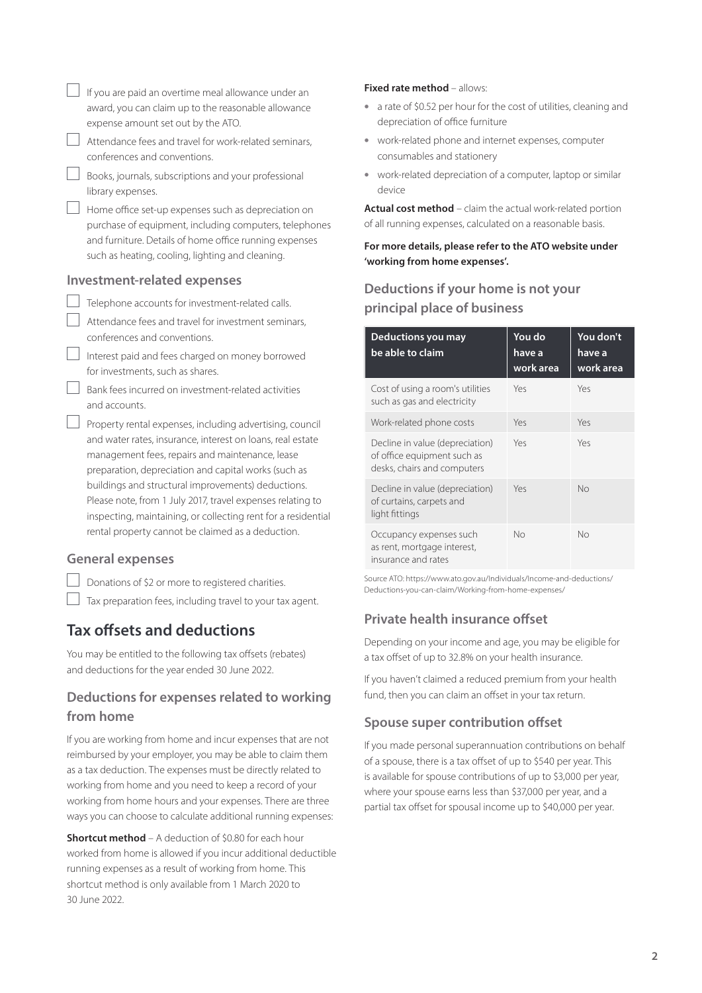|                         | If you are paid an overtime meal allowance under an<br>award, you can claim up to the reasonable allowance                                                                                                                                                                                                                                                                                                                                                                  |  |
|-------------------------|-----------------------------------------------------------------------------------------------------------------------------------------------------------------------------------------------------------------------------------------------------------------------------------------------------------------------------------------------------------------------------------------------------------------------------------------------------------------------------|--|
|                         | expense amount set out by the ATO.                                                                                                                                                                                                                                                                                                                                                                                                                                          |  |
|                         | Attendance fees and travel for work-related seminars,<br>conferences and conventions.                                                                                                                                                                                                                                                                                                                                                                                       |  |
|                         | Books, journals, subscriptions and your professional<br>library expenses.                                                                                                                                                                                                                                                                                                                                                                                                   |  |
|                         | Home office set-up expenses such as depreciation on<br>purchase of equipment, including computers, telephones<br>and furniture. Details of home office running expenses<br>such as heating, cooling, lighting and cleaning.                                                                                                                                                                                                                                                 |  |
|                         | <b>Investment-related expenses</b>                                                                                                                                                                                                                                                                                                                                                                                                                                          |  |
|                         | Telephone accounts for investment-related calls.                                                                                                                                                                                                                                                                                                                                                                                                                            |  |
|                         | Attendance fees and travel for investment seminars,<br>conferences and conventions.                                                                                                                                                                                                                                                                                                                                                                                         |  |
|                         | Interest paid and fees charged on money borrowed<br>for investments, such as shares.                                                                                                                                                                                                                                                                                                                                                                                        |  |
|                         | Bank fees incurred on investment-related activities<br>and accounts.                                                                                                                                                                                                                                                                                                                                                                                                        |  |
|                         | Property rental expenses, including advertising, council<br>and water rates, insurance, interest on loans, real estate<br>management fees, repairs and maintenance, lease<br>preparation, depreciation and capital works (such as<br>buildings and structural improvements) deductions.<br>Please note, from 1 July 2017, travel expenses relating to<br>inspecting, maintaining, or collecting rent for a residential<br>rental property cannot be claimed as a deduction. |  |
| <b>General expenses</b> |                                                                                                                                                                                                                                                                                                                                                                                                                                                                             |  |

Donations of \$2 or more to registered charities.

 $\Box$  Tax preparation fees, including travel to your tax agent.

# **Tax offsets and deductions**

You may be entitled to the following tax offsets (rebates) and deductions for the year ended 30 June 2022.

# **Deductions for expenses related to working from home**

If you are working from home and incur expenses that are not reimbursed by your employer, you may be able to claim them as a tax deduction. The expenses must be directly related to working from home and you need to keep a record of your working from home hours and your expenses. There are three ways you can choose to calculate additional running expenses:

**Shortcut method** – A deduction of \$0.80 for each hour worked from home is allowed if you incur additional deductible running expenses as a result of working from home. This shortcut method is only available from 1 March 2020 to 30 June 2022.

#### **Fixed rate method** – allows:

- a rate of \$0.52 per hour for the cost of utilities, cleaning and depreciation of office furniture
- work-related phone and internet expenses, computer consumables and stationery
- work-related depreciation of a computer, laptop or similar device

**Actual cost method** – claim the actual work-related portion of all running expenses, calculated on a reasonable basis.

**For more details, please refer to the ATO website under 'working from home expenses'.**

# **Deductions if your home is not your principal place of business**

| Deductions you may<br>be able to claim                                                        | You do<br>have a<br>work area | You don't<br>have a<br>work area |
|-----------------------------------------------------------------------------------------------|-------------------------------|----------------------------------|
| Cost of using a room's utilities<br>such as gas and electricity                               | Yes                           | Yes                              |
| Work-related phone costs                                                                      | Yes                           | Yes                              |
| Decline in value (depreciation)<br>of office equipment such as<br>desks, chairs and computers | Yes                           | Yes                              |
| Decline in value (depreciation)<br>of curtains, carpets and<br>light fittings                 | Yes                           | No                               |
| Occupancy expenses such<br>as rent, mortgage interest,<br>insurance and rates                 | No                            | No                               |

Source ATO: [https://www.ato.gov.au/Individuals/Income-and-deductions/](https://www.ato.gov.au/Individuals/Income-and-deductions/Deductions-you-can-claim/Working-from-home-expenses/) [Deductions-you-can-claim/Working-from-home-expenses/](https://www.ato.gov.au/Individuals/Income-and-deductions/Deductions-you-can-claim/Working-from-home-expenses/)

#### **Private health insurance offset**

Depending on your income and age, you may be eligible for a tax offset of up to 32.8% on your health insurance.

If you haven't claimed a reduced premium from your health fund, then you can claim an offset in your tax return.

### **Spouse super contribution offset**

If you made personal superannuation contributions on behalf of a spouse, there is a tax offset of up to \$540 per year. This is available for spouse contributions of up to \$3,000 per year, where your spouse earns less than \$37,000 per year, and a partial tax offset for spousal income up to \$40,000 per year.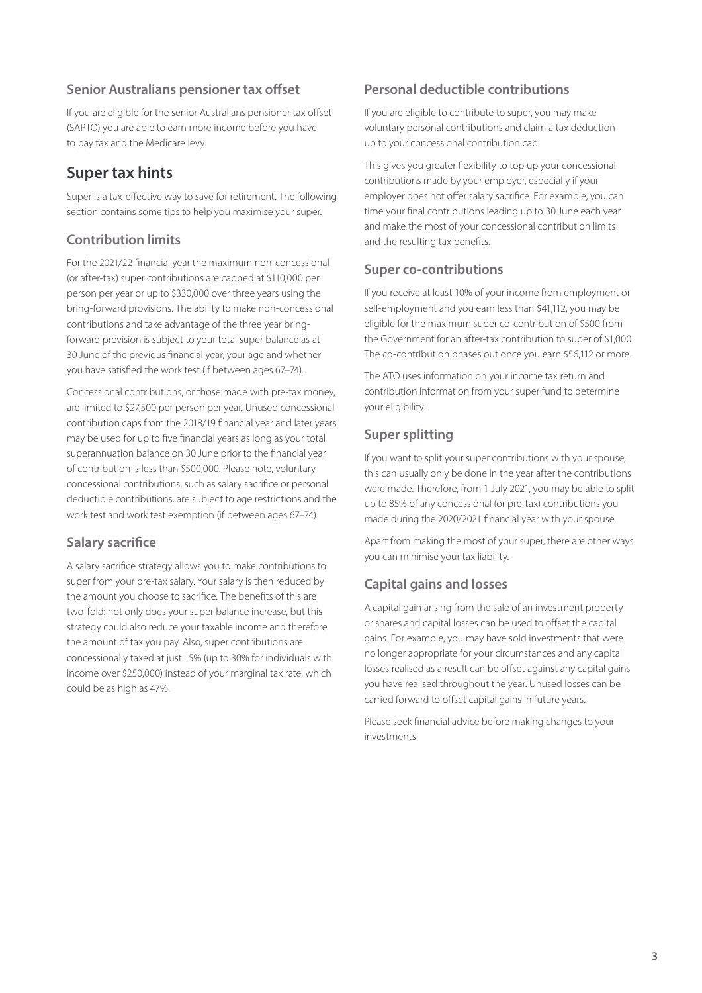#### **Senior Australians pensioner tax offset**

If you are eligible for the senior Australians pensioner tax offset (SAPTO) you are able to earn more income before you have to pay tax and the Medicare levy.

# **Super tax hints**

Super is a tax-effective way to save for retirement. The following section contains some tips to help you maximise your super.

# **Contribution limits**

For the 2021/22 financial year the maximum non-concessional (or after-tax) super contributions are capped at \$110,000 per person per year or up to \$330,000 over three years using the bring-forward provisions. The ability to make non-concessional contributions and take advantage of the three year bringforward provision is subject to your total super balance as at 30 June of the previous financial year, your age and whether you have satisfied the work test (if between ages 67–74).

Concessional contributions, or those made with pre-tax money, are limited to \$27,500 per person per year. Unused concessional contribution caps from the 2018/19 financial year and later years may be used for up to five financial years as long as your total superannuation balance on 30 June prior to the financial year of contribution is less than \$500,000. Please note, voluntary concessional contributions, such as salary sacrifice or personal deductible contributions, are subject to age restrictions and the work test and work test exemption (if between ages 67–74).

### **Salary sacrifice**

A salary sacrifice strategy allows you to make contributions to super from your pre-tax salary. Your salary is then reduced by the amount you choose to sacrifice. The benefits of this are two-fold: not only does your super balance increase, but this strategy could also reduce your taxable income and therefore the amount of tax you pay. Also, super contributions are concessionally taxed at just 15% (up to 30% for individuals with income over \$250,000) instead of your marginal tax rate, which could be as high as 47%.

### **Personal deductible contributions**

If you are eligible to contribute to super, you may make voluntary personal contributions and claim a tax deduction up to your concessional contribution cap.

This gives you greater flexibility to top up your concessional contributions made by your employer, especially if your employer does not offer salary sacrifice. For example, you can time your final contributions leading up to 30 June each year and make the most of your concessional contribution limits and the resulting tax benefits.

### **Super co-contributions**

If you receive at least 10% of your income from employment or self-employment and you earn less than \$41,112, you may be eligible for the maximum super co-contribution of \$500 from the Government for an after-tax contribution to super of \$1,000. The co-contribution phases out once you earn \$56,112 or more.

The ATO uses information on your income tax return and contribution information from your super fund to determine your eligibility.

## **Super splitting**

If you want to split your super contributions with your spouse, this can usually only be done in the year after the contributions were made. Therefore, from 1 July 2021, you may be able to split up to 85% of any concessional (or pre-tax) contributions you made during the 2020/2021 financial year with your spouse.

Apart from making the most of your super, there are other ways you can minimise your tax liability.

# **Capital gains and losses**

A capital gain arising from the sale of an investment property or shares and capital losses can be used to offset the capital gains. For example, you may have sold investments that were no longer appropriate for your circumstances and any capital losses realised as a result can be offset against any capital gains you have realised throughout the year. Unused losses can be carried forward to offset capital gains in future years.

Please seek financial advice before making changes to your investments